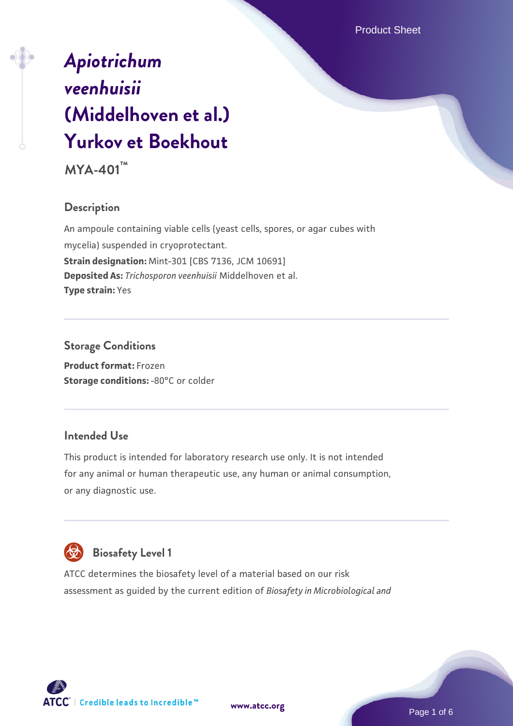# **MYA-401™**

# **Description**

An ampoule containing viable cells (yeast cells, spores, or agar cubes with mycelia) suspended in cryoprotectant. **Strain designation:** Mint-301 [CBS 7136, JCM 10691] **Deposited As:** *Trichosporon veenhuisii* Middelhoven et al. **Type strain:** Yes

## **Storage Conditions**

**Product format:** Frozen **Storage conditions: -80°C or colder** 

## **Intended Use**

This product is intended for laboratory research use only. It is not intended for any animal or human therapeutic use, any human or animal consumption, or any diagnostic use.



# **Biosafety Level 1**

ATCC determines the biosafety level of a material based on our risk assessment as guided by the current edition of *Biosafety in Microbiological and*



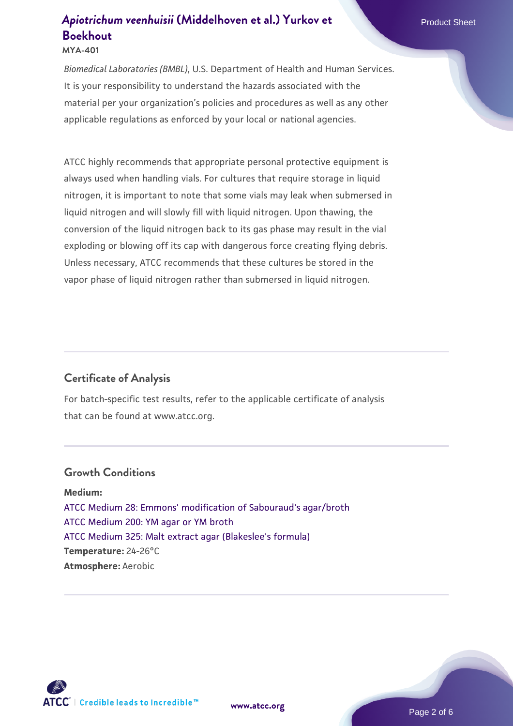#### **MYA-401**

*Biomedical Laboratories (BMBL)*, U.S. Department of Health and Human Services. It is your responsibility to understand the hazards associated with the material per your organization's policies and procedures as well as any other applicable regulations as enforced by your local or national agencies.

ATCC highly recommends that appropriate personal protective equipment is always used when handling vials. For cultures that require storage in liquid nitrogen, it is important to note that some vials may leak when submersed in liquid nitrogen and will slowly fill with liquid nitrogen. Upon thawing, the conversion of the liquid nitrogen back to its gas phase may result in the vial exploding or blowing off its cap with dangerous force creating flying debris. Unless necessary, ATCC recommends that these cultures be stored in the vapor phase of liquid nitrogen rather than submersed in liquid nitrogen.

## **Certificate of Analysis**

For batch-specific test results, refer to the applicable certificate of analysis that can be found at www.atcc.org.

## **Growth Conditions**

**Medium:**  [ATCC Medium 28: Emmons' modification of Sabouraud's agar/broth](https://www.atcc.org/-/media/product-assets/documents/microbial-media-formulations/2/8/atcc-medium-28.pdf?rev=0da0c58cc2a343eeae735016b70809bb) [ATCC Medium 200: YM agar or YM broth](https://www.atcc.org/-/media/product-assets/documents/microbial-media-formulations/2/0/0/atcc-medium-200.pdf?rev=ac40fd74dc13433a809367b0b9da30fc) [ATCC Medium 325: Malt extract agar \(Blakeslee's formula\)](https://www.atcc.org/-/media/product-assets/documents/microbial-media-formulations/3/2/5/atcc-medium-325.pdf?rev=146ec77015184a96912232dcb12386f9) **Temperature:** 24-26°C **Atmosphere:** Aerobic

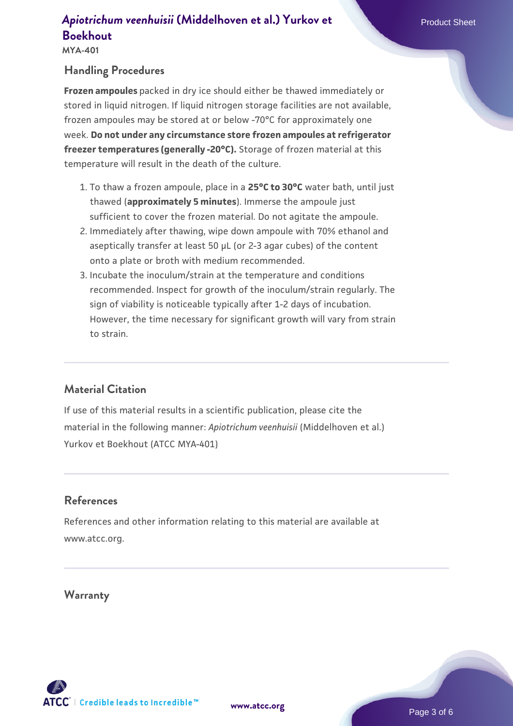**MYA-401**

## **Handling Procedures**

**Frozen ampoules** packed in dry ice should either be thawed immediately or stored in liquid nitrogen. If liquid nitrogen storage facilities are not available, frozen ampoules may be stored at or below -70°C for approximately one week. **Do not under any circumstance store frozen ampoules at refrigerator freezer temperatures (generally -20°C).** Storage of frozen material at this temperature will result in the death of the culture.

- 1. To thaw a frozen ampoule, place in a **25°C to 30°C** water bath, until just thawed (**approximately 5 minutes**). Immerse the ampoule just sufficient to cover the frozen material. Do not agitate the ampoule.
- 2. Immediately after thawing, wipe down ampoule with 70% ethanol and aseptically transfer at least 50 µL (or 2-3 agar cubes) of the content onto a plate or broth with medium recommended.
- Incubate the inoculum/strain at the temperature and conditions 3. recommended. Inspect for growth of the inoculum/strain regularly. The sign of viability is noticeable typically after 1-2 days of incubation. However, the time necessary for significant growth will vary from strain to strain.

## **Material Citation**

If use of this material results in a scientific publication, please cite the material in the following manner: *Apiotrichum veenhuisii* (Middelhoven et al.) Yurkov et Boekhout (ATCC MYA-401)

## **References**

References and other information relating to this material are available at www.atcc.org.

#### **Warranty**



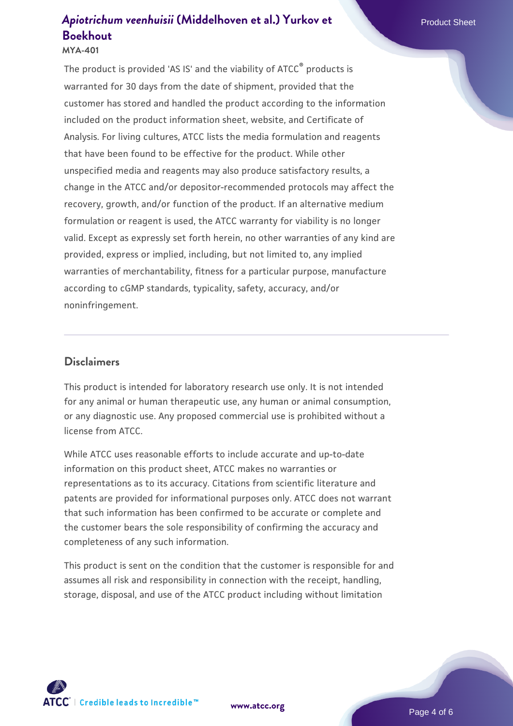#### **MYA-401**

The product is provided 'AS IS' and the viability of ATCC® products is warranted for 30 days from the date of shipment, provided that the customer has stored and handled the product according to the information included on the product information sheet, website, and Certificate of Analysis. For living cultures, ATCC lists the media formulation and reagents that have been found to be effective for the product. While other unspecified media and reagents may also produce satisfactory results, a change in the ATCC and/or depositor-recommended protocols may affect the recovery, growth, and/or function of the product. If an alternative medium formulation or reagent is used, the ATCC warranty for viability is no longer valid. Except as expressly set forth herein, no other warranties of any kind are provided, express or implied, including, but not limited to, any implied warranties of merchantability, fitness for a particular purpose, manufacture according to cGMP standards, typicality, safety, accuracy, and/or noninfringement.

## **Disclaimers**

This product is intended for laboratory research use only. It is not intended for any animal or human therapeutic use, any human or animal consumption, or any diagnostic use. Any proposed commercial use is prohibited without a license from ATCC.

While ATCC uses reasonable efforts to include accurate and up-to-date information on this product sheet, ATCC makes no warranties or representations as to its accuracy. Citations from scientific literature and patents are provided for informational purposes only. ATCC does not warrant that such information has been confirmed to be accurate or complete and the customer bears the sole responsibility of confirming the accuracy and completeness of any such information.

This product is sent on the condition that the customer is responsible for and assumes all risk and responsibility in connection with the receipt, handling, storage, disposal, and use of the ATCC product including without limitation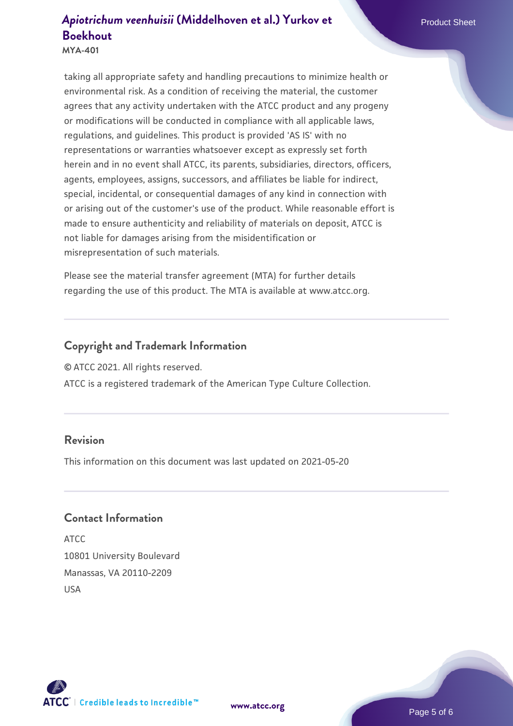**MYA-401**

taking all appropriate safety and handling precautions to minimize health or environmental risk. As a condition of receiving the material, the customer agrees that any activity undertaken with the ATCC product and any progeny or modifications will be conducted in compliance with all applicable laws, regulations, and guidelines. This product is provided 'AS IS' with no representations or warranties whatsoever except as expressly set forth herein and in no event shall ATCC, its parents, subsidiaries, directors, officers, agents, employees, assigns, successors, and affiliates be liable for indirect, special, incidental, or consequential damages of any kind in connection with or arising out of the customer's use of the product. While reasonable effort is made to ensure authenticity and reliability of materials on deposit, ATCC is not liable for damages arising from the misidentification or misrepresentation of such materials.

Please see the material transfer agreement (MTA) for further details regarding the use of this product. The MTA is available at www.atcc.org.

# **Copyright and Trademark Information**

© ATCC 2021. All rights reserved.

ATCC is a registered trademark of the American Type Culture Collection.

## **Revision**

This information on this document was last updated on 2021-05-20

## **Contact Information**

ATCC 10801 University Boulevard Manassas, VA 20110-2209 USA